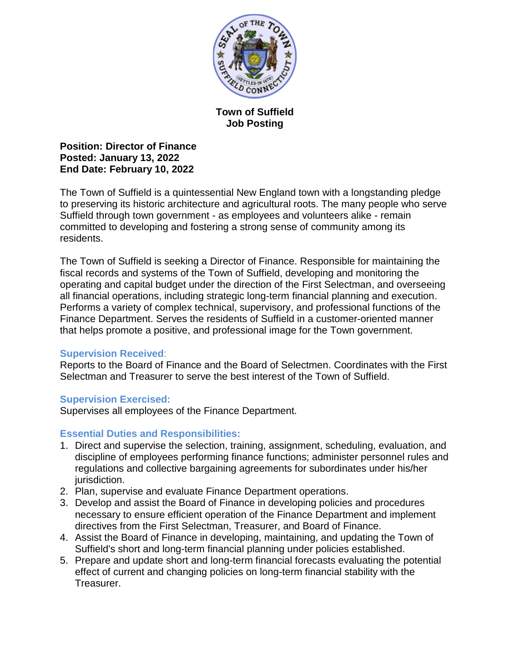

# **Town of Suffield Job Posting**

**Position: Director of Finance Posted: January 13, 2022 End Date: February 10, 2022** 

The Town of Suffield is a quintessential New England town with a longstanding pledge to preserving its historic architecture and agricultural roots. The many people who serve Suffield through town government - as employees and volunteers alike - remain committed to developing and fostering a strong sense of community among its residents.

The Town of Suffield is seeking a Director of Finance. Responsible for maintaining the fiscal records and systems of the Town of Suffield, developing and monitoring the operating and capital budget under the direction of the First Selectman, and overseeing all financial operations, including strategic long-term financial planning and execution. Performs a variety of complex technical, supervisory, and professional functions of the Finance Department. Serves the residents of Suffield in a customer-oriented manner that helps promote a positive, and professional image for the Town government.

# **Supervision Received**:

Reports to the Board of Finance and the Board of Selectmen. Coordinates with the First Selectman and Treasurer to serve the best interest of the Town of Suffield.

## **Supervision Exercised:**

Supervises all employees of the Finance Department.

# **Essential Duties and Responsibilities:**

- 1. Direct and supervise the selection, training, assignment, scheduling, evaluation, and discipline of employees performing finance functions; administer personnel rules and regulations and collective bargaining agreements for subordinates under his/her jurisdiction.
- 2. Plan, supervise and evaluate Finance Department operations.
- 3. Develop and assist the Board of Finance in developing policies and procedures necessary to ensure efficient operation of the Finance Department and implement directives from the First Selectman, Treasurer, and Board of Finance.
- 4. Assist the Board of Finance in developing, maintaining, and updating the Town of Suffield's short and long-term financial planning under policies established.
- 5. Prepare and update short and long-term financial forecasts evaluating the potential effect of current and changing policies on long-term financial stability with the Treasurer.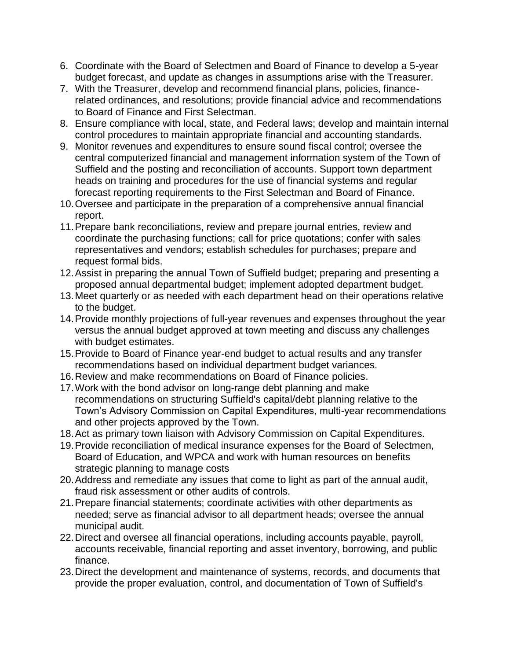- 6. Coordinate with the Board of Selectmen and Board of Finance to develop a 5-year budget forecast, and update as changes in assumptions arise with the Treasurer.
- 7. With the Treasurer, develop and recommend financial plans, policies, financerelated ordinances, and resolutions; provide financial advice and recommendations to Board of Finance and First Selectman.
- 8. Ensure compliance with local, state, and Federal laws; develop and maintain internal control procedures to maintain appropriate financial and accounting standards.
- 9. Monitor revenues and expenditures to ensure sound fiscal control; oversee the central computerized financial and management information system of the Town of Suffield and the posting and reconciliation of accounts. Support town department heads on training and procedures for the use of financial systems and regular forecast reporting requirements to the First Selectman and Board of Finance.
- 10.Oversee and participate in the preparation of a comprehensive annual financial report.
- 11.Prepare bank reconciliations, review and prepare journal entries, review and coordinate the purchasing functions; call for price quotations; confer with sales representatives and vendors; establish schedules for purchases; prepare and request formal bids.
- 12.Assist in preparing the annual Town of Suffield budget; preparing and presenting a proposed annual departmental budget; implement adopted department budget.
- 13.Meet quarterly or as needed with each department head on their operations relative to the budget.
- 14.Provide monthly projections of full-year revenues and expenses throughout the year versus the annual budget approved at town meeting and discuss any challenges with budget estimates.
- 15.Provide to Board of Finance year-end budget to actual results and any transfer recommendations based on individual department budget variances.
- 16.Review and make recommendations on Board of Finance policies.
- 17.Work with the bond advisor on long-range debt planning and make recommendations on structuring Suffield's capital/debt planning relative to the Town's Advisory Commission on Capital Expenditures, multi-year recommendations and other projects approved by the Town.
- 18.Act as primary town liaison with Advisory Commission on Capital Expenditures.
- 19.Provide reconciliation of medical insurance expenses for the Board of Selectmen, Board of Education, and WPCA and work with human resources on benefits strategic planning to manage costs
- 20.Address and remediate any issues that come to light as part of the annual audit, fraud risk assessment or other audits of controls.
- 21.Prepare financial statements; coordinate activities with other departments as needed; serve as financial advisor to all department heads; oversee the annual municipal audit.
- 22.Direct and oversee all financial operations, including accounts payable, payroll, accounts receivable, financial reporting and asset inventory, borrowing, and public finance.
- 23.Direct the development and maintenance of systems, records, and documents that provide the proper evaluation, control, and documentation of Town of Suffield's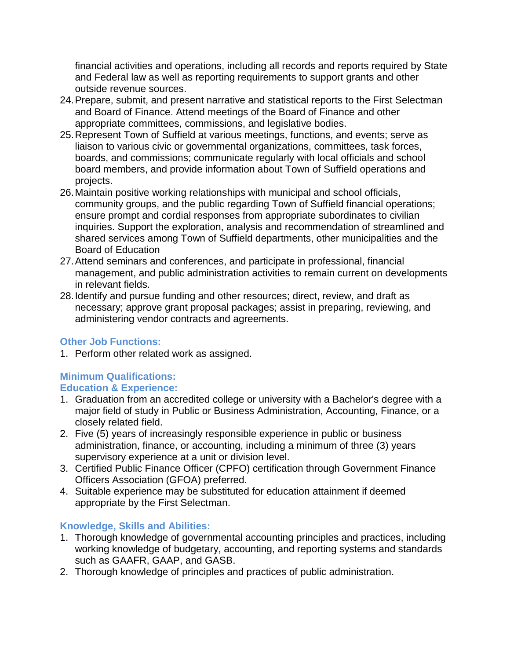financial activities and operations, including all records and reports required by State and Federal law as well as reporting requirements to support grants and other outside revenue sources.

- 24.Prepare, submit, and present narrative and statistical reports to the First Selectman and Board of Finance. Attend meetings of the Board of Finance and other appropriate committees, commissions, and legislative bodies.
- 25.Represent Town of Suffield at various meetings, functions, and events; serve as liaison to various civic or governmental organizations, committees, task forces, boards, and commissions; communicate regularly with local officials and school board members, and provide information about Town of Suffield operations and projects.
- 26.Maintain positive working relationships with municipal and school officials, community groups, and the public regarding Town of Suffield financial operations; ensure prompt and cordial responses from appropriate subordinates to civilian inquiries. Support the exploration, analysis and recommendation of streamlined and shared services among Town of Suffield departments, other municipalities and the Board of Education
- 27.Attend seminars and conferences, and participate in professional, financial management, and public administration activities to remain current on developments in relevant fields.
- 28.Identify and pursue funding and other resources; direct, review, and draft as necessary; approve grant proposal packages; assist in preparing, reviewing, and administering vendor contracts and agreements.

# **Other Job Functions:**

1. Perform other related work as assigned.

## **Minimum Qualifications: Education & Experience:**

- 1. Graduation from an accredited college or university with a Bachelor's degree with a major field of study in Public or Business Administration, Accounting, Finance, or a closely related field.
- 2. Five (5) years of increasingly responsible experience in public or business administration, finance, or accounting, including a minimum of three (3) years supervisory experience at a unit or division level.
- 3. Certified Public Finance Officer (CPFO) certification through Government Finance Officers Association (GFOA) preferred.
- 4. Suitable experience may be substituted for education attainment if deemed appropriate by the First Selectman.

# **Knowledge, Skills and Abilities:**

- 1. Thorough knowledge of governmental accounting principles and practices, including working knowledge of budgetary, accounting, and reporting systems and standards such as GAAFR, GAAP, and GASB.
- 2. Thorough knowledge of principles and practices of public administration.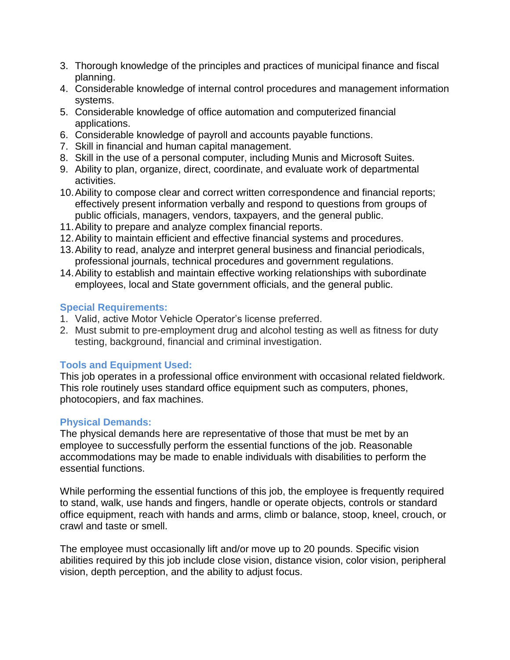- 3. Thorough knowledge of the principles and practices of municipal finance and fiscal planning.
- 4. Considerable knowledge of internal control procedures and management information systems.
- 5. Considerable knowledge of office automation and computerized financial applications.
- 6. Considerable knowledge of payroll and accounts payable functions.
- 7. Skill in financial and human capital management.
- 8. Skill in the use of a personal computer, including Munis and Microsoft Suites.
- 9. Ability to plan, organize, direct, coordinate, and evaluate work of departmental activities.
- 10.Ability to compose clear and correct written correspondence and financial reports; effectively present information verbally and respond to questions from groups of public officials, managers, vendors, taxpayers, and the general public.
- 11.Ability to prepare and analyze complex financial reports.
- 12.Ability to maintain efficient and effective financial systems and procedures.
- 13.Ability to read, analyze and interpret general business and financial periodicals, professional journals, technical procedures and government regulations.
- 14.Ability to establish and maintain effective working relationships with subordinate employees, local and State government officials, and the general public.

# **Special Requirements:**

- 1. Valid, active Motor Vehicle Operator's license preferred.
- 2. Must submit to pre-employment drug and alcohol testing as well as fitness for duty testing, background, financial and criminal investigation.

# **Tools and Equipment Used:**

This job operates in a professional office environment with occasional related fieldwork. This role routinely uses standard office equipment such as computers, phones, photocopiers, and fax machines.

# **Physical Demands:**

The physical demands here are representative of those that must be met by an employee to successfully perform the essential functions of the job. Reasonable accommodations may be made to enable individuals with disabilities to perform the essential functions.

While performing the essential functions of this job, the employee is frequently required to stand, walk, use hands and fingers, handle or operate objects, controls or standard office equipment, reach with hands and arms, climb or balance, stoop, kneel, crouch, or crawl and taste or smell.

The employee must occasionally lift and/or move up to 20 pounds. Specific vision abilities required by this job include close vision, distance vision, color vision, peripheral vision, depth perception, and the ability to adjust focus.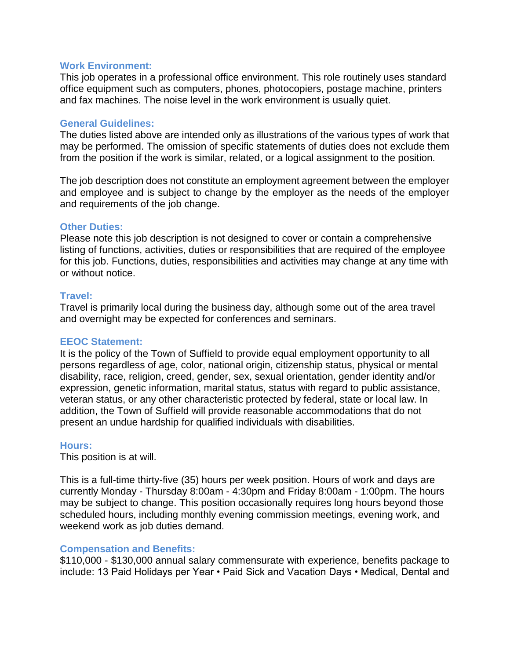#### **Work Environment:**

This job operates in a professional office environment. This role routinely uses standard office equipment such as computers, phones, photocopiers, postage machine, printers and fax machines. The noise level in the work environment is usually quiet.

## **General Guidelines:**

The duties listed above are intended only as illustrations of the various types of work that may be performed. The omission of specific statements of duties does not exclude them from the position if the work is similar, related, or a logical assignment to the position.

The job description does not constitute an employment agreement between the employer and employee and is subject to change by the employer as the needs of the employer and requirements of the job change.

## **Other Duties:**

Please note this job description is not designed to cover or contain a comprehensive listing of functions, activities, duties or responsibilities that are required of the employee for this job. Functions, duties, responsibilities and activities may change at any time with or without notice.

## **Travel:**

Travel is primarily local during the business day, although some out of the area travel and overnight may be expected for conferences and seminars.

#### **EEOC Statement:**

It is the policy of the Town of Suffield to provide equal employment opportunity to all persons regardless of age, color, national origin, citizenship status, physical or mental disability, race, religion, creed, gender, sex, sexual orientation, gender identity and/or expression, genetic information, marital status, status with regard to public assistance, veteran status, or any other characteristic protected by federal, state or local law. In addition, the Town of Suffield will provide reasonable accommodations that do not present an undue hardship for qualified individuals with disabilities.

#### **Hours:**

This position is at will.

This is a full-time thirty-five (35) hours per week position. Hours of work and days are currently Monday - Thursday 8:00am - 4:30pm and Friday 8:00am - 1:00pm. The hours may be subject to change. This position occasionally requires long hours beyond those scheduled hours, including monthly evening commission meetings, evening work, and weekend work as job duties demand.

## **Compensation and Benefits:**

\$110,000 - \$130,000 annual salary commensurate with experience, benefits package to include: 13 Paid Holidays per Year • Paid Sick and Vacation Days • Medical, Dental and